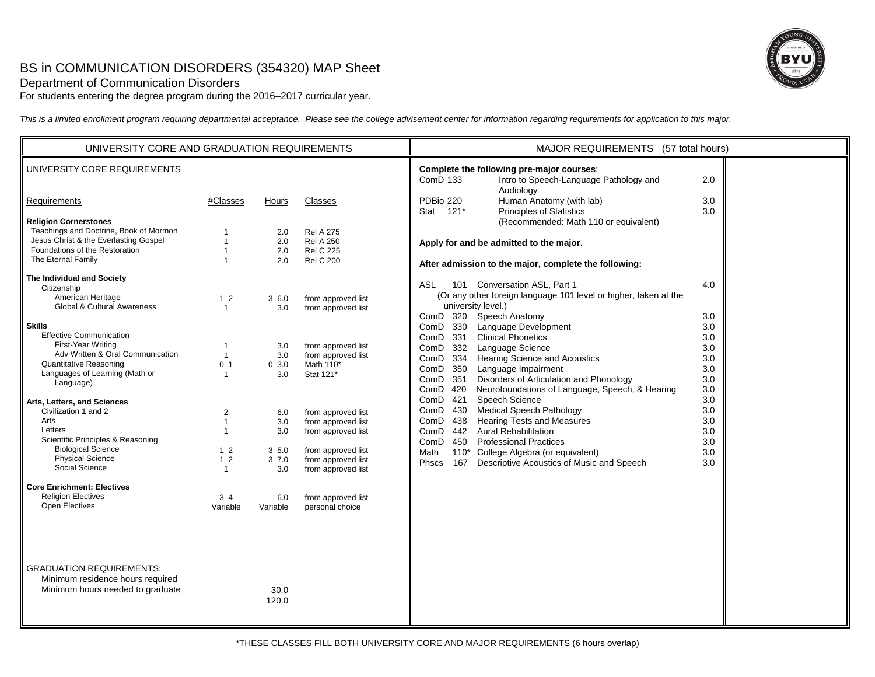# BS in COMMUNICATION DISORDERS (354320) MAP Sheet



For students entering the degree program during the 2016–2017 curricular year.

*This is a limited enrollment program requiring departmental acceptance. Please see the college advisement center for information regarding requirements for application to this major.*

| UNIVERSITY CORE AND GRADUATION REQUIREMENTS                                                                                                                                                                                                                                                                                                                                                                                                                                                                                                                                                                                                                                                  |                                                                                                                                                                                                                                         |                                                                                                                                      |                                                                                                                                                                                                                                                                                                                                    | MAJOR REQUIREMENTS (57 total hours)                                                                                                                                                                                                                                                                                                                                                                                                                                                                                                                                                                                                                                                                                                                                                                                                                                                                                                                                                                                         |
|----------------------------------------------------------------------------------------------------------------------------------------------------------------------------------------------------------------------------------------------------------------------------------------------------------------------------------------------------------------------------------------------------------------------------------------------------------------------------------------------------------------------------------------------------------------------------------------------------------------------------------------------------------------------------------------------|-----------------------------------------------------------------------------------------------------------------------------------------------------------------------------------------------------------------------------------------|--------------------------------------------------------------------------------------------------------------------------------------|------------------------------------------------------------------------------------------------------------------------------------------------------------------------------------------------------------------------------------------------------------------------------------------------------------------------------------|-----------------------------------------------------------------------------------------------------------------------------------------------------------------------------------------------------------------------------------------------------------------------------------------------------------------------------------------------------------------------------------------------------------------------------------------------------------------------------------------------------------------------------------------------------------------------------------------------------------------------------------------------------------------------------------------------------------------------------------------------------------------------------------------------------------------------------------------------------------------------------------------------------------------------------------------------------------------------------------------------------------------------------|
| UNIVERSITY CORE REQUIREMENTS                                                                                                                                                                                                                                                                                                                                                                                                                                                                                                                                                                                                                                                                 |                                                                                                                                                                                                                                         |                                                                                                                                      |                                                                                                                                                                                                                                                                                                                                    | Complete the following pre-major courses:<br>Intro to Speech-Language Pathology and<br><b>ComD 133</b><br>2.0                                                                                                                                                                                                                                                                                                                                                                                                                                                                                                                                                                                                                                                                                                                                                                                                                                                                                                               |
| Requirements                                                                                                                                                                                                                                                                                                                                                                                                                                                                                                                                                                                                                                                                                 | #Classes                                                                                                                                                                                                                                | Hours                                                                                                                                | Classes                                                                                                                                                                                                                                                                                                                            | Audiology<br>PDBio 220<br>Human Anatomy (with lab)<br>3.0<br>Stat 121*<br><b>Principles of Statistics</b><br>3.0                                                                                                                                                                                                                                                                                                                                                                                                                                                                                                                                                                                                                                                                                                                                                                                                                                                                                                            |
| <b>Religion Cornerstones</b><br>Teachings and Doctrine, Book of Mormon<br>Jesus Christ & the Everlasting Gospel<br>Foundations of the Restoration<br>The Eternal Family<br>The Individual and Society<br>Citizenship<br>American Heritage<br>Global & Cultural Awareness<br><b>Skills</b><br><b>Effective Communication</b><br>First-Year Writing<br>Adv Written & Oral Communication<br>Quantitative Reasoning<br>Languages of Learning (Math or<br>Language)<br>Arts, Letters, and Sciences<br>Civilization 1 and 2<br>Arts<br>Letters<br>Scientific Principles & Reasoning<br><b>Biological Science</b><br><b>Physical Science</b><br>Social Science<br><b>Core Enrichment: Electives</b> | $\overline{1}$<br>$\mathbf{1}$<br>$\mathbf{1}$<br>$\overline{1}$<br>$1 - 2$<br>$\mathbf{1}$<br>$\overline{1}$<br>$\mathbf{1}$<br>$0 - 1$<br>$\overline{1}$<br>2<br>$\overline{1}$<br>$\mathbf{1}$<br>$1 - 2$<br>$1 - 2$<br>$\mathbf{1}$ | 2.0<br>2.0<br>2.0<br>2.0<br>$3 - 6.0$<br>3.0<br>3.0<br>3.0<br>$0 - 3.0$<br>3.0<br>6.0<br>3.0<br>3.0<br>$3 - 5.0$<br>$3 - 7.0$<br>3.0 | <b>Rel A 275</b><br><b>Rel A 250</b><br><b>Rel C 225</b><br><b>Rel C 200</b><br>from approved list<br>from approved list<br>from approved list<br>from approved list<br>Math 110*<br>Stat 121*<br>from approved list<br>from approved list<br>from approved list<br>from approved list<br>from approved list<br>from approved list | (Recommended: Math 110 or equivalent)<br>Apply for and be admitted to the major.<br>After admission to the major, complete the following:<br>101 Conversation ASL, Part 1<br>ASL<br>4.0<br>(Or any other foreign language 101 level or higher, taken at the<br>university level.)<br>ComD 320 Speech Anatomy<br>3.0<br>ComD 330 Language Development<br>3.0<br>ComD 331 Clinical Phonetics<br>3.0<br>ComD 332 Language Science<br>3.0<br>ComD 334 Hearing Science and Acoustics<br>3.0<br>ComD 350<br>Language Impairment<br>3.0<br>ComD 351<br>Disorders of Articulation and Phonology<br>3.0<br>ComD 420 Neurofoundations of Language, Speech, & Hearing<br>3.0<br>ComD 421 Speech Science<br>3.0<br>ComD 430 Medical Speech Pathology<br>3.0<br><b>Hearing Tests and Measures</b><br>ComD 438<br>3.0<br>ComD 442 Aural Rehabilitation<br>3.0<br>ComD 450 Professional Practices<br>3.0<br>Math<br>110* College Algebra (or equivalent)<br>3.0<br>Descriptive Acoustics of Music and Speech<br>167<br><b>Phscs</b><br>3.0 |
| <b>Religion Electives</b><br><b>Open Electives</b><br><b>GRADUATION REQUIREMENTS:</b>                                                                                                                                                                                                                                                                                                                                                                                                                                                                                                                                                                                                        | $3 - 4$<br>Variable                                                                                                                                                                                                                     | 6.0<br>Variable                                                                                                                      | from approved list<br>personal choice                                                                                                                                                                                                                                                                                              |                                                                                                                                                                                                                                                                                                                                                                                                                                                                                                                                                                                                                                                                                                                                                                                                                                                                                                                                                                                                                             |
| Minimum residence hours required<br>Minimum hours needed to graduate                                                                                                                                                                                                                                                                                                                                                                                                                                                                                                                                                                                                                         |                                                                                                                                                                                                                                         | 30.0<br>120.0                                                                                                                        |                                                                                                                                                                                                                                                                                                                                    |                                                                                                                                                                                                                                                                                                                                                                                                                                                                                                                                                                                                                                                                                                                                                                                                                                                                                                                                                                                                                             |